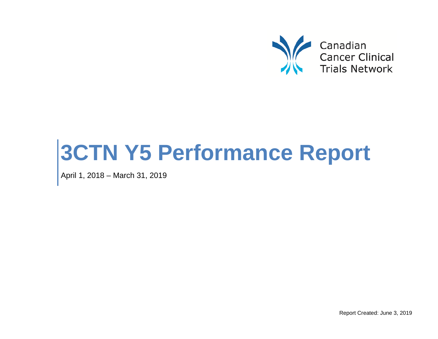

# **3CTN Y5 Performance Report**

April 1, 2018 – March 31, 2019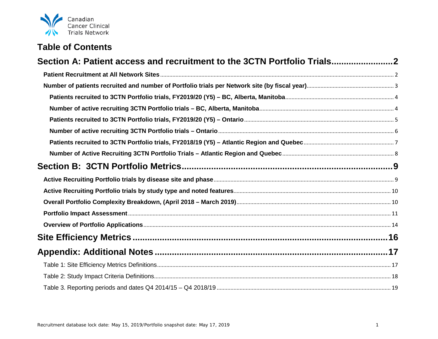

## **Table of Contents**

| Section A: Patient access and recruitment to the 3CTN Portfolio Trials2 |  |
|-------------------------------------------------------------------------|--|
|                                                                         |  |
|                                                                         |  |
|                                                                         |  |
|                                                                         |  |
|                                                                         |  |
|                                                                         |  |
|                                                                         |  |
|                                                                         |  |
|                                                                         |  |
|                                                                         |  |
|                                                                         |  |
|                                                                         |  |
|                                                                         |  |
|                                                                         |  |
|                                                                         |  |
|                                                                         |  |
|                                                                         |  |
|                                                                         |  |
|                                                                         |  |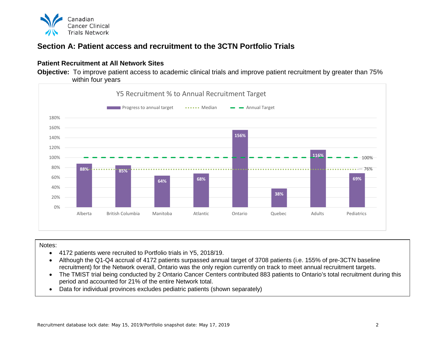

## <span id="page-2-0"></span>**Section A: Patient access and recruitment to the 3CTN Portfolio Trials**

#### <span id="page-2-1"></span>**Patient Recruitment at All Network Sites**

**Objective:** To improve patient access to academic clinical trials and improve patient recruitment by greater than 75% within four years



#### Notes:

- 4172 patients were recruited to Portfolio trials in Y5, 2018/19.
- Although the Q1-Q4 accrual of 4172 patients surpassed annual target of 3708 patients (i.e. 155% of pre-3CTN baseline recruitment) for the Network overall, Ontario was the only region currently on track to meet annual recruitment targets.
- The TMIST trial being conducted by 2 Ontario Cancer Centers contributed 883 patients to Ontario's total recruitment during this period and accounted for 21% of the entire Network total.
- Data for individual provinces excludes pediatric patients (shown separately)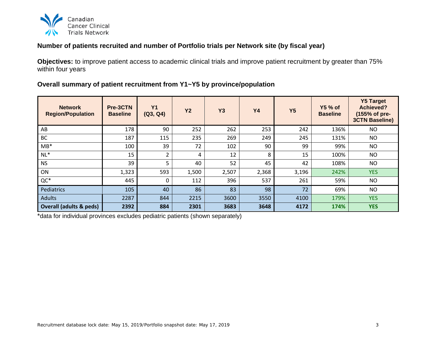

#### <span id="page-3-0"></span>**Number of patients recruited and number of Portfolio trials per Network site (by fiscal year)**

**Objectives:** to improve patient access to academic clinical trials and improve patient recruitment by greater than 75% within four years

#### **Overall summary of patient recruitment from Y1~Y5 by province/population**

| <b>Network</b><br><b>Region/Population</b> | Pre-3CTN<br><b>Baseline</b> | <b>Y1</b><br>(Q3, Q4) | <b>Y2</b> | <b>Y3</b> | <b>Y4</b> | <b>Y5</b> | <b>Y5 % of</b><br><b>Baseline</b> | <b>Y5 Target</b><br><b>Achieved?</b><br>(155% of pre-<br><b>3CTN Baseline)</b> |
|--------------------------------------------|-----------------------------|-----------------------|-----------|-----------|-----------|-----------|-----------------------------------|--------------------------------------------------------------------------------|
| AB                                         | 178                         | 90                    | 252       | 262       | 253       | 242       | 136%                              | <b>NO</b>                                                                      |
| <b>BC</b>                                  | 187                         | 115                   | 235       | 269       | 249       | 245       | 131%                              | <b>NO</b>                                                                      |
| $MB*$                                      | 100                         | 39                    | 72        | 102       | 90        | 99        | 99%                               | NO                                                                             |
| $NL^*$                                     | 15                          | 2                     | 4         | 12        | 8         | 15        | 100%                              | <b>NO</b>                                                                      |
| <b>NS</b>                                  | 39                          |                       | 40        | 52        | 45        | 42        | 108%                              | <b>NO</b>                                                                      |
| ON                                         | 1,323                       | 593                   | 1,500     | 2,507     | 2,368     | 3,196     | 242%                              | <b>YES</b>                                                                     |
| $QC^*$                                     | 445                         |                       | 112       | 396       | 537       | 261       | 59%                               | <b>NO</b>                                                                      |
| Pediatrics                                 | 105                         | 40                    | 86        | 83        | 98        | 72        | 69%                               | <b>NO</b>                                                                      |
| <b>Adults</b>                              | 2287                        | 844                   | 2215      | 3600      | 3550      | 4100      | 179%                              | <b>YES</b>                                                                     |
| <b>Overall (adults &amp; peds)</b>         | 2392                        | 884                   | 2301      | 3683      | 3648      | 4172      | 174%                              | <b>YES</b>                                                                     |

\*data for individual provinces excludes pediatric patients (shown separately)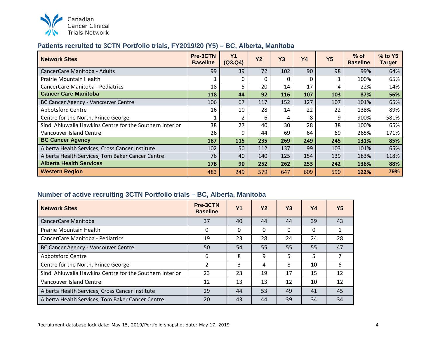

#### <span id="page-4-0"></span>**Patients recruited to 3CTN Portfolio trials, FY2019/20 (Y5) – BC, Alberta, Manitoba**

| <b>Network Sites</b>                                     | Pre-3CTN<br><b>Baseline</b> | <b>Y1</b><br>(Q3,Q4) | <b>Y2</b> | Y3  | <b>Y4</b> | <b>Y5</b> | $%$ of<br><b>Baseline</b> | % to Y5<br><b>Target</b> |
|----------------------------------------------------------|-----------------------------|----------------------|-----------|-----|-----------|-----------|---------------------------|--------------------------|
| CancerCare Manitoba - Adults                             | 99                          | 39                   | 72        | 102 | 90        | 98        | 99%                       | 64%                      |
| Prairie Mountain Health                                  |                             | 0                    | $\Omega$  | O   |           |           | 100%                      | 65%                      |
| CancerCare Manitoba - Pediatrics                         | 18                          | 5                    | 20        | 14  | 17        | 4         | 22%                       | 14%                      |
| <b>Cancer Care Manitoba</b>                              | 118                         | 44                   | 92        | 116 | 107       | 103       | 87%                       | 56%                      |
| <b>BC Cancer Agency - Vancouver Centre</b>               | 106                         | 67                   | 117       | 152 | 127       | 107       | 101%                      | 65%                      |
| <b>Abbotsford Centre</b>                                 | 16                          | 10                   | 28        | 14  | 22        | 22        | 138%                      | 89%                      |
| Centre for the North, Prince George                      |                             | $\overline{2}$       | 6         | 4   | 8         | 9         | 900%                      | 581%                     |
| Sindi Ahluwalia Hawkins Centre for the Southern Interior | 38                          | 27                   | 40        | 30  | 28        | 38        | 100%                      | 65%                      |
| Vancouver Island Centre                                  | 26                          | 9                    | 44        | 69  | 64        | 69        | 265%                      | 171%                     |
| <b>BC Cancer Agency</b>                                  | 187                         | 115                  | 235       | 269 | 249       | 245       | 131%                      | 85%                      |
| Alberta Health Services, Cross Cancer Institute          | 102                         | 50                   | 112       | 137 | 99        | 103       | 101%                      | 65%                      |
| Alberta Health Services, Tom Baker Cancer Centre         | 76                          | 40                   | 140       | 125 | 154       | 139       | 183%                      | 118%                     |
| <b>Alberta Health Services</b>                           | 178                         | 90                   | 252       | 262 | 253       | 242       | 136%                      | 88%                      |
| <b>Western Region</b>                                    | 483                         | 249                  | 579       | 647 | 609       | 590       | 122%                      | 79%                      |

#### <span id="page-4-1"></span>**Number of active recruiting 3CTN Portfolio trials – BC, Alberta, Manitoba**

| <b>Network Sites</b>                                     | Pre-3CTN<br><b>Baseline</b> | <b>Y1</b> | Y <sub>2</sub> | Y <sub>3</sub> | Υ4 | Y5 |
|----------------------------------------------------------|-----------------------------|-----------|----------------|----------------|----|----|
| CancerCare Manitoba                                      | 37                          | 40        | 44             | 44             | 39 | 43 |
| <b>Prairie Mountain Health</b>                           | 0                           | 0         | $\Omega$       | $\Omega$       | 0  |    |
| CancerCare Manitoba - Pediatrics                         | 19                          | 23        | 28             | 24             | 24 | 28 |
| BC Cancer Agency - Vancouver Centre                      | 50                          | 54        | 55             | 55             | 55 | 47 |
| <b>Abbotsford Centre</b>                                 | 6                           | 8         | 9              | 5              | 5. |    |
| Centre for the North, Prince George                      | 2                           | 3         | 4              | 8              | 10 | 6  |
| Sindi Ahluwalia Hawkins Centre for the Southern Interior | 23                          | 23        | 19             | 17             | 15 | 12 |
| Vancouver Island Centre                                  | 12                          | 13        | 13             | 12             | 10 | 12 |
| Alberta Health Services, Cross Cancer Institute          | 29                          | 44        | 53             | 49             | 41 | 45 |
| Alberta Health Services, Tom Baker Cancer Centre         | 20                          | 43        | 44             | 39             | 34 | 34 |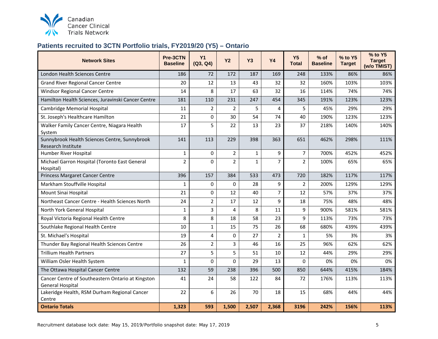

## <span id="page-5-0"></span>**Patients recruited to 3CTN Portfolio trials, FY2019/20 (Y5) – Ontario**

| <b>Network Sites</b>                                                         | Pre-3CTN<br><b>Baseline</b> | <b>Y1</b><br>(Q3, Q4) | <b>Y2</b>      | <b>Y3</b>    | <b>Y4</b>      | Y <sub>5</sub><br><b>Total</b> | $%$ of<br><b>Baseline</b> | % to Y5<br><b>Target</b> | % to Y5<br><b>Target</b><br>(w/o TMIST) |
|------------------------------------------------------------------------------|-----------------------------|-----------------------|----------------|--------------|----------------|--------------------------------|---------------------------|--------------------------|-----------------------------------------|
| London Health Sciences Centre                                                | 186                         | 72                    | 172            | 187          | 169            | 248                            | 133%                      | 86%                      | 86%                                     |
| <b>Grand River Regional Cancer Centre</b>                                    | 20                          | 12                    | 13             | 43           | 32             | 32                             | 160%                      | 103%                     | 103%                                    |
| Windsor Regional Cancer Centre                                               | 14                          | 8                     | 17             | 63           | 32             | 16                             | 114%                      | 74%                      | 74%                                     |
| Hamilton Health Sciences, Juravinski Cancer Centre                           | 181                         | 110                   | 231            | 247          | 454            | 345                            | 191%                      | 123%                     | 123%                                    |
| Cambridge Memorial Hospital                                                  | 11                          | $\overline{2}$        | $\overline{2}$ | 5            | 4              | 5                              | 45%                       | 29%                      | 29%                                     |
| St. Joseph's Healthcare Hamilton                                             | 21                          | $\mathbf 0$           | 30             | 54           | 74             | 40                             | 190%                      | 123%                     | 123%                                    |
| Walker Family Cancer Centre, Niagara Health<br>System                        | 17                          | 5                     | 22             | 13           | 23             | 37                             | 218%                      | 140%                     | 140%                                    |
| Sunnybrook Health Sciences Centre, Sunnybrook<br><b>Research Institute</b>   | 141                         | 113                   | 229            | 398          | 363            | 651                            | 462%                      | 298%                     | 111%                                    |
| Humber River Hospital                                                        | $\mathbf{1}$                | 0                     | $\overline{2}$ | $\mathbf{1}$ | 9              | $\overline{7}$                 | 700%                      | 452%                     | 452%                                    |
| Michael Garron Hospital (Toronto East General<br>Hospital)                   | $\overline{2}$              | $\Omega$              | $\overline{2}$ | $\mathbf{1}$ | $\overline{7}$ | $\overline{2}$                 | 100%                      | 65%                      | 65%                                     |
| Princess Margaret Cancer Centre                                              | 396                         | 157                   | 384            | 533          | 473            | 720                            | 182%                      | 117%                     | 117%                                    |
| Markham Stouffville Hospital                                                 | 1                           | 0                     | 0              | 28           | 9              | $\overline{2}$                 | 200%                      | 129%                     | 129%                                    |
| Mount Sinai Hospital                                                         | 21                          | 0                     | 12             | 40           | $\overline{7}$ | 12                             | 57%                       | 37%                      | 37%                                     |
| Northeast Cancer Centre - Health Sciences North                              | 24                          | $\overline{2}$        | 17             | 12           | 9              | 18                             | 75%                       | 48%                      | 48%                                     |
| North York General Hospital                                                  | $\mathbf{1}$                | 3                     | 4              | 8            | 11             | 9                              | 900%                      | 581%                     | 581%                                    |
| Royal Victoria Regional Health Centre                                        | 8                           | 8                     | 18             | 58           | 23             | 9                              | 113%                      | 73%                      | 73%                                     |
| Southlake Regional Health Centre                                             | 10                          | $\mathbf 1$           | 15             | 75           | 26             | 68                             | 680%                      | 439%                     | 439%                                    |
| St. Michael's Hospital                                                       | 19                          | 4                     | 0              | 27           | $\overline{2}$ | $\mathbf{1}$                   | 5%                        | 3%                       | 3%                                      |
| Thunder Bay Regional Health Sciences Centre                                  | 26                          | $\overline{2}$        | 3              | 46           | 16             | 25                             | 96%                       | 62%                      | 62%                                     |
| <b>Trillium Health Partners</b>                                              | 27                          | 5                     | 5              | 51           | 10             | 12                             | 44%                       | 29%                      | 29%                                     |
| William Osler Health System                                                  | $\mathbf{1}$                | 0                     | 0              | 29           | 13             | 0                              | 0%                        | 0%                       | 0%                                      |
| The Ottawa Hospital Cancer Centre                                            | 132                         | 59                    | 238            | 396          | 500            | 850                            | 644%                      | 415%                     | 184%                                    |
| Cancer Centre of Southeastern Ontario at Kingston<br><b>General Hospital</b> | 41                          | 24                    | 58             | 122          | 84             | 72                             | 176%                      | 113%                     | 113%                                    |
| Lakeridge Health, RSM Durham Regional Cancer<br>Centre                       | 22                          | 6                     | 26             | 70           | 18             | 15                             | 68%                       | 44%                      | 44%                                     |
| <b>Ontario Totals</b>                                                        | 1,323                       | 593                   | 1,500          | 2,507        | 2,368          | 3196                           | 242%                      | 156%                     | 113%                                    |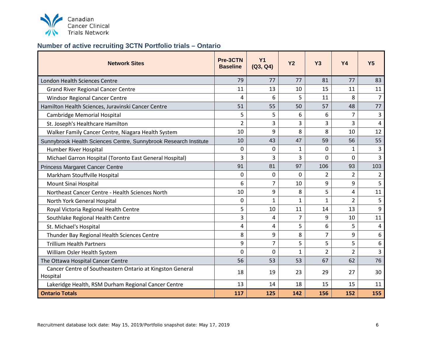

## <span id="page-6-0"></span>**Number of active recruiting 3CTN Portfolio trials – Ontario**

| <b>Network Sites</b>                                                  | Pre-3CTN<br><b>Baseline</b> | <b>Y1</b><br>(Q3, Q4) | <b>Y2</b>      | <b>Y3</b>      | <b>Y4</b>      | <b>Y5</b>      |
|-----------------------------------------------------------------------|-----------------------------|-----------------------|----------------|----------------|----------------|----------------|
| <b>London Health Sciences Centre</b>                                  | 79                          | 77                    | 77             | 81             | 77             | 83             |
| <b>Grand River Regional Cancer Centre</b>                             | 11                          | 13                    | 10             | 15             | 11             | 11             |
| <b>Windsor Regional Cancer Centre</b>                                 | 4                           | 6                     | 5              | 11             | 8              | $\overline{7}$ |
| Hamilton Health Sciences, Juravinski Cancer Centre                    | 51                          | 55                    | 50             | 57             | 48             | 77             |
| <b>Cambridge Memorial Hospital</b>                                    | 5                           | 5                     | 6              | 6              | 7              | 3              |
| St. Joseph's Healthcare Hamilton                                      | $\overline{2}$              | 3                     | 3              | 3              | 3              | $\overline{4}$ |
| Walker Family Cancer Centre, Niagara Health System                    | 10                          | 9                     | 8              | 8              | 10             | 12             |
| Sunnybrook Health Sciences Centre, Sunnybrook Research Institute      | 10                          | 43                    | 47             | 59             | 56             | 55             |
| Humber River Hospital                                                 | 0                           | 0                     | 1              | 0              | 1              | 3              |
| Michael Garron Hospital (Toronto East General Hospital)               | 3                           | 3                     | 3              | 0              | 0              | 3              |
| <b>Princess Margaret Cancer Centre</b>                                | 91                          | 81                    | 97             | 106            | 93             | 103            |
| Markham Stouffville Hospital                                          | 0                           | 0                     | 0              | $\overline{2}$ | $\overline{2}$ | $\overline{2}$ |
| Mount Sinai Hospital                                                  | 6                           | 7                     | 10             | 9              | 9              | 5              |
| Northeast Cancer Centre - Health Sciences North                       | 10                          | 9                     | 8              | 5              | 4              | 11             |
| North York General Hospital                                           | 0                           | 1                     | $\mathbf{1}$   | $\mathbf{1}$   | $\overline{2}$ | 5              |
| Royal Victoria Regional Health Centre                                 | 5                           | 10                    | 11             | 14             | 13             | 9              |
| Southlake Regional Health Centre                                      | 3                           | 4                     | $\overline{7}$ | 9              | 10             | 11             |
| St. Michael's Hospital                                                | 4                           | 4                     | 5              | 6              | 5              | $\overline{4}$ |
| Thunder Bay Regional Health Sciences Centre                           | 8                           | 9                     | 8              | $\overline{7}$ | 9              | 6              |
| <b>Trillium Health Partners</b>                                       | 9                           | 7                     | 5              | 5              | 5              | 6              |
| William Osler Health System                                           | $\overline{0}$              | 0                     | $\mathbf{1}$   | $\overline{2}$ | $\overline{2}$ | $\overline{3}$ |
| The Ottawa Hospital Cancer Centre                                     | 56                          | 53                    | 53             | 67             | 62             | 76             |
| Cancer Centre of Southeastern Ontario at Kingston General<br>Hospital | 18                          | 19                    | 23             | 29             | 27             | 30             |
| Lakeridge Health, RSM Durham Regional Cancer Centre                   | 13                          | 14                    | 18             | 15             | 15             | 11             |
| <b>Ontario Totals</b>                                                 | 117                         | 125                   | 142            | 156            | 152            | 155            |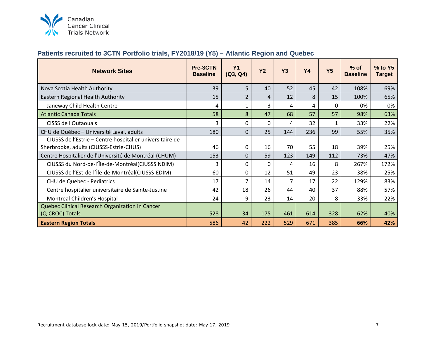

#### <span id="page-7-0"></span>**Patients recruited to 3CTN Portfolio trials, FY2018/19 (Y5) – Atlantic Region and Quebec**

| <b>Network Sites</b>                                     | Pre-3CTN<br><b>Baseline</b> | <b>Y1</b><br>(Q3, Q4) | <b>Y2</b> | <b>Y3</b>      | <b>Y4</b> | <b>Y5</b> | $%$ of<br><b>Baseline</b> | % to Y5<br><b>Target</b> |
|----------------------------------------------------------|-----------------------------|-----------------------|-----------|----------------|-----------|-----------|---------------------------|--------------------------|
| Nova Scotia Health Authority                             | 39                          | 5                     | 40        | 52             | 45        | 42        | 108%                      | 69%                      |
| Eastern Regional Health Authority                        | 15                          | $\overline{2}$        | 4         | 12             | 8         | 15        | 100%                      | 65%                      |
| Janeway Child Health Centre                              | 4                           | $\mathbf{1}$          | 3         | 4              | 4         | 0         | 0%                        | 0%                       |
| <b>Atlantic Canada Totals</b>                            | 58                          | 8                     | 47        | 68             | 57        | 57        | 98%                       | 63%                      |
| CISSS de l'Outaouais                                     | 3                           | 0                     | 0         | 4              | 32        | 1         | 33%                       | 22%                      |
| CHU de Québec - Université Laval, adults                 | 180                         | $\Omega$              | 25        | 144            | 236       | 99        | 55%                       | 35%                      |
| CIUSSS de l'Estrie - Centre hospitalier universitaire de |                             |                       |           |                |           |           |                           |                          |
| Sherbrooke, adults (CIUSSS-Estrie-CHUS)                  | 46                          | 0                     | 16        | 70             | 55        | 18        | 39%                       | 25%                      |
| Centre Hospitalier de l'Université de Montréal (CHUM)    | 153                         | $\Omega$              | 59        | 123            | 149       | 112       | 73%                       | 47%                      |
| CIUSSS du Nord-de-l'Île-de-Montréal(CIUSSS NDIM)         | 3                           | 0                     | 0         | 4              | 16        | 8         | 267%                      | 172%                     |
| CIUSSS de l'Est-de-l'Île-de-Montréal(CIUSSS-EDIM)        | 60                          | 0                     | 12        | 51             | 49        | 23        | 38%                       | 25%                      |
| CHU de Quebec - Pediatrics                               | 17                          | $\overline{7}$        | 14        | $\overline{7}$ | 17        | 22        | 129%                      | 83%                      |
| Centre hospitalier universitaire de Sainte-Justine       | 42                          | 18                    | 26        | 44             | 40        | 37        | 88%                       | 57%                      |
| Montreal Children's Hospital                             | 24                          | 9                     | 23        | 14             | 20        | 8         | 33%                       | 22%                      |
| Quebec Clinical Research Organization in Cancer          |                             |                       |           |                |           |           |                           |                          |
| (Q-CROC) Totals                                          | 528                         | 34                    | 175       | 461            | 614       | 328       | 62%                       | 40%                      |
| <b>Eastern Region Totals</b>                             | 586                         | 42                    | 222       | 529            | 671       | 385       | 66%                       | 42%                      |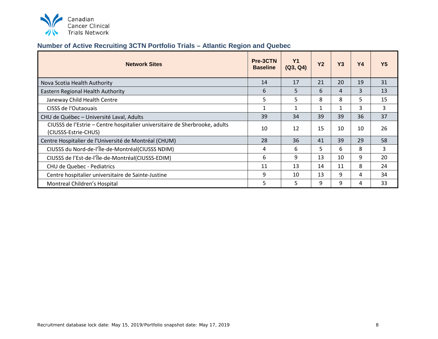

## <span id="page-8-0"></span>**Number of Active Recruiting 3CTN Portfolio Trials – Atlantic Region and Quebec**

| <b>Network Sites</b>                                                                                | Pre-3CTN<br><b>Baseline</b> | Y <sub>1</sub><br>(Q3, Q4) | <b>Y2</b> | Y3 | <b>Y4</b> | Υ5 |
|-----------------------------------------------------------------------------------------------------|-----------------------------|----------------------------|-----------|----|-----------|----|
| Nova Scotia Health Authority                                                                        | 14                          | 17                         | 21        | 20 | 19        | 31 |
| Eastern Regional Health Authority                                                                   | 6                           | 5                          | 6         | 4  | 3         | 13 |
| Janeway Child Health Centre                                                                         | 5                           | 5                          | 8         | 8  | 5         | 15 |
| CISSS de l'Outaouais                                                                                |                             | $\mathbf{1}$               |           |    | 3         | 3  |
| CHU de Québec - Université Laval, Adults                                                            | 39                          | 34                         | 39        | 39 | 36        | 37 |
| CIUSSS de l'Estrie – Centre hospitalier universitaire de Sherbrooke, adults<br>(CIUSSS-Estrie-CHUS) | 10                          | 12                         | 15        | 10 | 10        | 26 |
| Centre Hospitalier de l'Université de Montréal (CHUM)                                               | 28                          | 36                         | 41        | 39 | 29        | 58 |
| CIUSSS du Nord-de-l'Île-de-Montréal(CIUSSS NDIM)                                                    | 4                           | 6                          | 5.        | 6  | 8         | 3  |
| CIUSSS de l'Est-de-l'Île-de-Montréal(CIUSSS-EDIM)                                                   | 6                           | 9                          | 13        | 10 | 9         | 20 |
| CHU de Quebec - Pediatrics                                                                          |                             | 13                         | 14        | 11 | 8         | 24 |
| Centre hospitalier universitaire de Sainte-Justine                                                  | 9                           | 10                         | 13        | 9  | 4         | 34 |
| Montreal Children's Hospital                                                                        | 5                           | 5                          | 9         | 9  | 4         | 33 |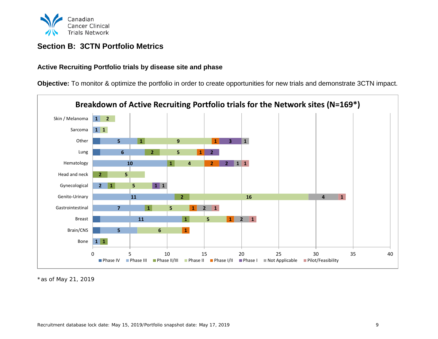

### <span id="page-9-0"></span>**Section B: 3CTN Portfolio Metrics**

#### <span id="page-9-1"></span>**Active Recruiting Portfolio trials by disease site and phase**

**Objective:** To monitor & optimize the portfolio in order to create opportunities for new trials and demonstrate 3CTN impact.



\*as of May 21, 2019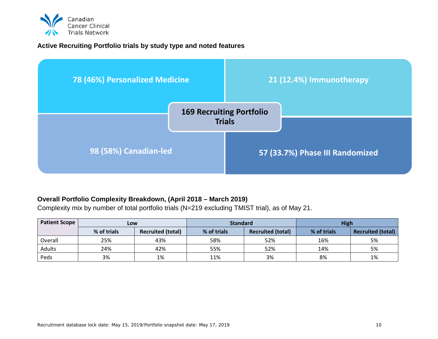

#### <span id="page-10-0"></span>**Active Recruiting Portfolio trials by study type and noted features**



#### <span id="page-10-1"></span>**Overall Portfolio Complexity Breakdown, (April 2018 – March 2019)**

Complexity mix by number of total portfolio trials (N=219 excluding TMIST trial), as of May 21.

| <b>Patient Scope</b> | Low         |                          | <b>Standard</b> |                          | <b>High</b> |                          |  |
|----------------------|-------------|--------------------------|-----------------|--------------------------|-------------|--------------------------|--|
|                      | % of trials | <b>Recruited (total)</b> | % of trials     | <b>Recruited (total)</b> | % of trials | <b>Recruited (total)</b> |  |
| Overall              | 25%         | 43%                      | 58%             | 52%                      | 16%         | 5%                       |  |
| Adults               | 24%         | 42%                      | 55%             | 52%                      | 14%         | 5%                       |  |
| Peds                 | 3%          | 1%                       | 11%             | 3%                       | 8%          | 1%                       |  |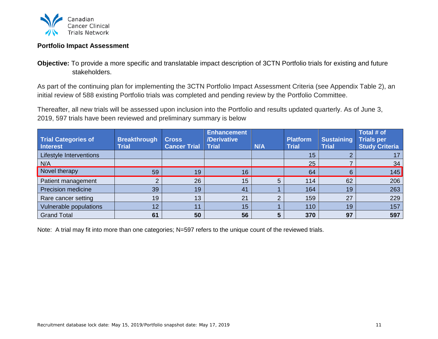

#### <span id="page-11-0"></span>**Portfolio Impact Assessment**

**Objective:** To provide a more specific and translatable impact description of 3CTN Portfolio trials for existing and future stakeholders.

As part of the continuing plan for implementing the 3CTN Portfolio Impact Assessment Criteria (see Appendix Table 2), an initial review of 588 existing Portfolio trials was completed and pending review by the Portfolio Committee.

Thereafter, all new trials will be assessed upon inclusion into the Portfolio and results updated quarterly. As of June 3, 2019, 597 trials have been reviewed and preliminary summary is below

| <b>Trial Categories of</b><br><b>Interest</b> | <b>Breakthrough</b><br><b>Trial</b> | <b>Cross</b><br><b>Cancer Trial</b> | <b>Enhancement</b><br>/Derivative<br><b>Trial</b> | N/A        | <b>Platform</b><br><b>Trial</b> | <b>Sustaining</b><br><b>Trial</b> | Total # of<br>Trials per<br><b>Study Criteria</b> |
|-----------------------------------------------|-------------------------------------|-------------------------------------|---------------------------------------------------|------------|---------------------------------|-----------------------------------|---------------------------------------------------|
| Lifestyle Interventions                       |                                     |                                     |                                                   |            | 15                              |                                   |                                                   |
| N/A                                           |                                     |                                     |                                                   |            | 25                              |                                   | 34                                                |
| Novel therapy                                 | 59                                  | 19                                  | 16                                                |            | 64                              | 6                                 | 145                                               |
| Patient management                            | 2                                   | 26                                  | 15                                                |            | 114                             | 62                                | 206                                               |
| <b>Precision medicine</b>                     | 39                                  | 19                                  | 41                                                |            | 164                             | 19                                | 263                                               |
| Rare cancer setting                           | 19                                  | 13                                  | 21                                                | $\sqrt{2}$ | 159                             | 27                                | 229                                               |
| Vulnerable populations                        | 12                                  | 11                                  | 15                                                |            | 110                             | 19                                | 157                                               |
| <b>Grand Total</b>                            | 61                                  | 50                                  | 56                                                |            | 370                             | 97                                | 597                                               |

Note: A trial may fit into more than one categories; N=597 refers to the unique count of the reviewed trials.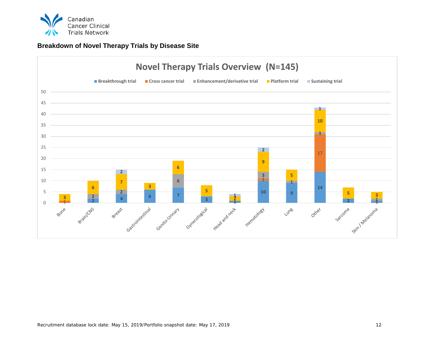

#### **Breakdown of Novel Therapy Trials by Disease Site**

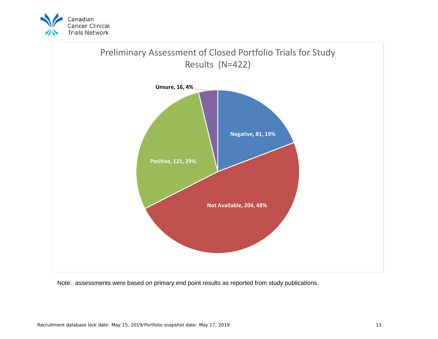



Note: assessments were based on primary end point results as reported from study publications.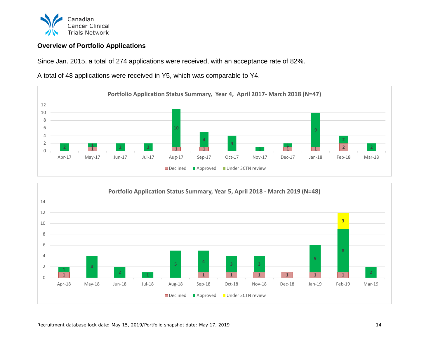

#### <span id="page-14-0"></span>**Overview of Portfolio Applications**

Since Jan. 2015, a total of 274 applications were received, with an acceptance rate of 82%.

A total of 48 applications were received in Y5, which was comparable to Y4.



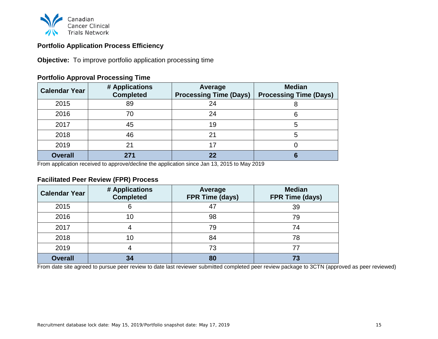

#### **Portfolio Application Process Efficiency**

**Objective:** To improve portfolio application processing time

| <b>Calendar Year</b> | # Applications<br><b>Completed</b> | Average<br><b>Processing Time (Days)</b> | <b>Median</b><br><b>Processing Time (Days)</b> |
|----------------------|------------------------------------|------------------------------------------|------------------------------------------------|
| 2015                 | 89                                 | 24                                       | 8                                              |
| 2016                 | 70                                 | 24                                       | 6                                              |
| 2017                 | 45                                 | 19                                       | 5                                              |
| 2018                 | 46                                 | 21                                       | 5                                              |
| 2019                 | 21                                 | 17                                       |                                                |
| <b>Overall</b>       | 271                                | 22                                       | 6                                              |

#### **Portfolio Approval Processing Time**

From application received to approve/decline the application since Jan 13, 2015 to May 2019

#### **Facilitated Peer Review (FPR) Process**

| <b>Calendar Year</b> | # Applications<br><b>Completed</b> | Average<br><b>FPR Time (days)</b> | <b>Median</b><br>FPR Time (days) |
|----------------------|------------------------------------|-----------------------------------|----------------------------------|
| 2015                 | 6                                  |                                   | 39                               |
| 2016                 | 10                                 | 98                                | 79                               |
| 2017                 |                                    | 79                                | 74                               |
| 2018                 | 10                                 | 84                                | 78                               |
| 2019                 |                                    | 73                                | 77                               |
| <b>Overall</b>       | 34                                 | 80                                | 73                               |

From date site agreed to pursue peer review to date last reviewer submitted completed peer review package to 3CTN (approved as peer reviewed)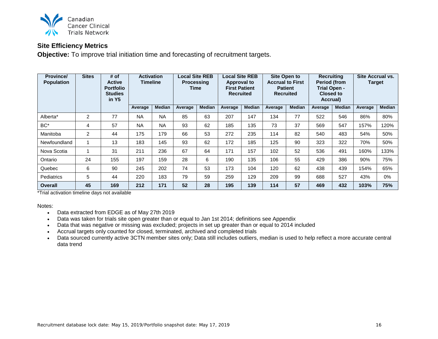

#### <span id="page-16-0"></span>**Site Efficiency Metrics**

**Objective:** To improve trial initiation time and forecasting of recruitment targets.

| <b>Province/</b><br><b>Population</b> | <b>Sites</b> | # of<br>Active<br><b>Portfolio</b><br><b>Studies</b><br>in Y5 | <b>Activation</b><br><b>Timeline</b> |               | <b>Local Site REB</b><br><b>Processing</b><br>Time |               | <b>Local Site REB</b><br>Approval to<br><b>First Patient</b><br><b>Recruited</b> |               | <b>Site Open to</b><br><b>Accrual to First</b><br><b>Patient</b><br><b>Recruited</b> |               | <b>Recruiting</b><br>Period (from<br>Trial Open -<br><b>Closed to</b><br>Accrual) |               | Site Accrual vs.<br><b>Target</b> |               |
|---------------------------------------|--------------|---------------------------------------------------------------|--------------------------------------|---------------|----------------------------------------------------|---------------|----------------------------------------------------------------------------------|---------------|--------------------------------------------------------------------------------------|---------------|-----------------------------------------------------------------------------------|---------------|-----------------------------------|---------------|
|                                       |              |                                                               | Average                              | <b>Median</b> | Average                                            | <b>Median</b> | Average                                                                          | <b>Median</b> | Average                                                                              | <b>Median</b> | Average                                                                           | <b>Median</b> | Average                           | <b>Median</b> |
| Alberta*                              | 2            | 77                                                            | <b>NA</b>                            | <b>NA</b>     | 85                                                 | 63            | 207                                                                              | 147           | 134                                                                                  | 77            | 522                                                                               | 546           | 86%                               | 80%           |
| BC*                                   | 4            | 57                                                            | <b>NA</b>                            | <b>NA</b>     | 93                                                 | 62            | 185                                                                              | 135           | 73                                                                                   | 37            | 569                                                                               | 547           | 157%                              | 120%          |
| Manitoba                              | 2            | 44                                                            | 175                                  | 179           | 66                                                 | 53            | 272                                                                              | 235           | 114                                                                                  | 82            | 540                                                                               | 483           | 54%                               | 50%           |
| Newfoundland                          | 1            | 13                                                            | 183                                  | 145           | 93                                                 | 62            | 172                                                                              | 185           | 125                                                                                  | 90            | 323                                                                               | 322           | 70%                               | 50%           |
| Nova Scotia                           |              | 31                                                            | 211                                  | 236           | 67                                                 | 64            | 171                                                                              | 157           | 102                                                                                  | 52            | 536                                                                               | 491           | 160%                              | 133%          |
| Ontario                               | 24           | 155                                                           | 197                                  | 159           | 28                                                 | 6             | 190                                                                              | 135           | 106                                                                                  | 55            | 429                                                                               | 386           | 90%                               | 75%           |
| Quebec                                | 6            | 90                                                            | 245                                  | 202           | 74                                                 | 53            | 173                                                                              | 104           | 120                                                                                  | 62            | 438                                                                               | 439           | 154%                              | 65%           |
| <b>Pediatrics</b>                     | 5            | 44                                                            | 220                                  | 183           | 79                                                 | 59            | 259                                                                              | 129           | 209                                                                                  | 99            | 688                                                                               | 527           | 43%                               | 0%            |
| <b>Overall</b>                        | 45           | 169                                                           | 212                                  | 171           | 52                                                 | 28            | 195                                                                              | 139           | 114                                                                                  | 57            | 469                                                                               | 432           | 103%                              | 75%           |

\*Trial activation timeline days not available

Notes:

- Data extracted from EDGE as of May 27th 2019
- Data was taken for trials site open greater than or equal to Jan 1st 2014; definitions see Appendix
- Data that was negative or missing was excluded; projects in set up greater than or equal to 2014 included
- Accrual targets only counted for closed, terminated, archived and completed trials
- Data sourced currently active 3CTN member sites only; Data still includes outliers, median is used to help reflect a more accurate central data trend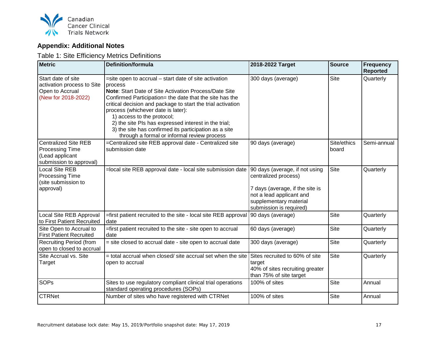

## <span id="page-17-0"></span>**Appendix: Additional Notes**

<span id="page-17-1"></span>Table 1: Site Efficiency Metrics Definitions

| <b>Metric</b>                                                                                       | Definition/formula                                                                                                                                                                                                                                                                                                                                                                                                                                                                             | 2018-2022 Target                                                                                                                                                           | <b>Source</b>        | <b>Frequency</b><br><b>Reported</b> |
|-----------------------------------------------------------------------------------------------------|------------------------------------------------------------------------------------------------------------------------------------------------------------------------------------------------------------------------------------------------------------------------------------------------------------------------------------------------------------------------------------------------------------------------------------------------------------------------------------------------|----------------------------------------------------------------------------------------------------------------------------------------------------------------------------|----------------------|-------------------------------------|
| Start date of site<br>activation process to Site<br>Open to Accrual<br>(New for 2018-2022)          | =site open to accrual – start date of site activation<br>process<br><b>Note:</b> Start Date of Site Activation Process/Date Site<br>Confirmed Participation= the date that the site has the<br>critical decision and package to start the trial activation<br>process (whichever date is later):<br>1) access to the protocol;<br>2) the site PIs has expressed interest in the trial;<br>3) the site has confirmed its participation as a site<br>through a formal or informal review process | 300 days (average)                                                                                                                                                         | <b>Site</b>          | Quarterly                           |
| <b>Centralized Site REB</b><br><b>Processing Time</b><br>(Lead applicant<br>submission to approval) | =Centralized site REB approval date - Centralized site<br>submission date                                                                                                                                                                                                                                                                                                                                                                                                                      | 90 days (average)                                                                                                                                                          | Site/ethics<br>board | Semi-annual                         |
| <b>Local Site REB</b><br><b>Processing Time</b><br>(site submission to<br>approval)                 | =local site REB approval date - local site submission date                                                                                                                                                                                                                                                                                                                                                                                                                                     | 90 days (average, if not using<br>centralized process)<br>7 days (average, if the site is<br>not a lead applicant and<br>supplementary material<br>submission is required) | <b>Site</b>          | Quarterly                           |
| Local Site REB Approval<br>to First Patient Recruited                                               | =first patient recruited to the site - local site REB approval<br>date                                                                                                                                                                                                                                                                                                                                                                                                                         | 90 days (average)                                                                                                                                                          | Site                 | Quarterly                           |
| Site Open to Accrual to<br><b>First Patient Recruited</b>                                           | =first patient recruited to the site - site open to accrual<br>date                                                                                                                                                                                                                                                                                                                                                                                                                            | 60 days (average)                                                                                                                                                          | <b>Site</b>          | Quarterly                           |
| <b>Recruiting Period (from</b><br>open to closed to accrual                                         | = site closed to accrual date - site open to accrual date                                                                                                                                                                                                                                                                                                                                                                                                                                      | 300 days (average)                                                                                                                                                         | <b>Site</b>          | Quarterly                           |
| Site Accrual vs. Site<br>Target                                                                     | = total accrual when closed/ site accrual set when the site<br>open to accrual                                                                                                                                                                                                                                                                                                                                                                                                                 | Sites recruited to 60% of site<br>target<br>40% of sites recruiting greater<br>than 75% of site target                                                                     | <b>Site</b>          | Quarterly                           |
| <b>SOPs</b>                                                                                         | Sites to use regulatory compliant clinical trial operations<br>standard operating procedures (SOPs)                                                                                                                                                                                                                                                                                                                                                                                            | 100% of sites                                                                                                                                                              | Site                 | Annual                              |
| <b>CTRNet</b>                                                                                       | Number of sites who have registered with CTRNet                                                                                                                                                                                                                                                                                                                                                                                                                                                | 100% of sites                                                                                                                                                              | <b>Site</b>          | Annual                              |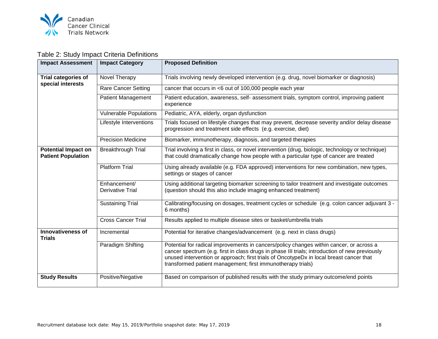

## <span id="page-18-0"></span>Table 2: Study Impact Criteria Definitions

| <b>Impact Assessment</b>                                | <b>Impact Category</b>                  | <b>Proposed Definition</b>                                                                                                                                                                                                                                                                                                                          |  |  |  |  |
|---------------------------------------------------------|-----------------------------------------|-----------------------------------------------------------------------------------------------------------------------------------------------------------------------------------------------------------------------------------------------------------------------------------------------------------------------------------------------------|--|--|--|--|
| <b>Trial categories of</b>                              | Novel Therapy                           | Trials involving newly developed intervention (e.g. drug, novel biomarker or diagnosis)                                                                                                                                                                                                                                                             |  |  |  |  |
| special interests                                       | <b>Rare Cancer Setting</b>              | cancer that occurs in <6 out of 100,000 people each year                                                                                                                                                                                                                                                                                            |  |  |  |  |
|                                                         | <b>Patient Management</b>               | Patient education, awareness, self- assessment trials, symptom control, improving patient<br>experience                                                                                                                                                                                                                                             |  |  |  |  |
|                                                         | <b>Vulnerable Populations</b>           | Pediatric, AYA, elderly, organ dysfunction                                                                                                                                                                                                                                                                                                          |  |  |  |  |
|                                                         | Lifestyle Interventions                 | Trials focused on lifestyle changes that may prevent, decrease severity and/or delay disease<br>progression and treatment side effects (e.g. exercise, diet)                                                                                                                                                                                        |  |  |  |  |
|                                                         | <b>Precision Medicine</b>               | Biomarker, immunotherapy, diagnosis, and targeted therapies                                                                                                                                                                                                                                                                                         |  |  |  |  |
| <b>Potential Impact on</b><br><b>Patient Population</b> | <b>Breakthrough Trial</b>               | Trial involving a first in class, or novel intervention (drug, biologic, technology or technique)<br>that could dramatically change how people with a particular type of cancer are treated                                                                                                                                                         |  |  |  |  |
|                                                         | <b>Platform Trial</b>                   | Using already available (e.g. FDA approved) interventions for new combination, new types,<br>settings or stages of cancer                                                                                                                                                                                                                           |  |  |  |  |
|                                                         | Enhancement/<br><b>Derivative Trial</b> | Using additional targeting biomarker screening to tailor treatment and investigate outcomes<br>(question should this also include imaging enhanced treatment)                                                                                                                                                                                       |  |  |  |  |
|                                                         | <b>Sustaining Trial</b>                 | Calibrating/focusing on dosages, treatment cycles or schedule (e.g. colon cancer adjuvant 3 -<br>6 months)                                                                                                                                                                                                                                          |  |  |  |  |
|                                                         | <b>Cross Cancer Trial</b>               | Results applied to multiple disease sites or basket/umbrella trials                                                                                                                                                                                                                                                                                 |  |  |  |  |
| <b>Innovativeness of</b><br><b>Trials</b>               | Incremental                             | Potential for iterative changes/advancement (e.g. next in class drugs)                                                                                                                                                                                                                                                                              |  |  |  |  |
|                                                         | Paradigm Shifting                       | Potential for radical improvements in cancers/policy changes within cancer, or across a<br>cancer spectrum (e.g. first in class drugs in phase III trials; introduction of new previously<br>unused intervention or approach; first trials of OncotypeDx in local breast cancer that<br>transformed patient management; first immunotherapy trials) |  |  |  |  |
| <b>Study Results</b>                                    | Positive/Negative                       | Based on comparison of published results with the study primary outcome/end points                                                                                                                                                                                                                                                                  |  |  |  |  |